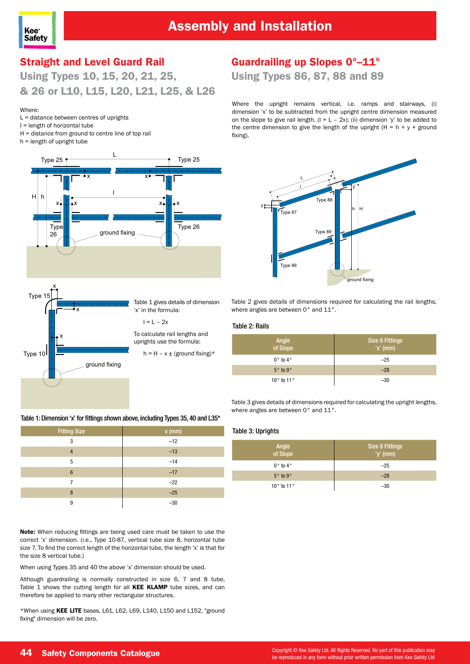

### Straight and Level Guard Rail

Using Types 10, 15, 20, 21, 25, & 26 or L10, L15, L20, L21, L25, & L26

#### Where:

- L = distance between centres of uprights
- I = length of horizontal tube
- H = distance from ground to centre line of top rail h = length of upright tube
	- L  $H|h|$   $\mathbf{M}$ Type 25 Typ 26 Type 26 Type 25 x x x x x x ground fixing



Table 1 gives details of dimension 'x' in the formula:

#### $I = L - 2x$

To calculate rail lengths and uprights use the formula:

 $h = H - x \pm (ground fixing)^*$ 

### Guardrailing up Slopes 0°–11°

Using Types 86, 87, 88 and 89

Where the upright remains vertical, i.e. ramps and stairways, (i) dimension 'x' to be subtracted from the upright centre dimension measured on the slope to give rail length.  $(I = L - 2x)$ ; (ii) dimension 'y' to be added to the centre dimension to give the length of the upright  $(H = h + y +$  ground fixing).



Table 2 gives details of dimensions required for calculating the rail lengths, where angles are between 0° and 11°.

#### Table 2: Rails

| Angle<br>of Slope | <b>Size 8 Fittings</b><br>$'x'$ (mm) |
|-------------------|--------------------------------------|
| $0°$ to $4°$      | $-25$                                |
| $5°$ to $9°$      | $-28$                                |
| $10°$ to $11°$    | $-30$                                |

Table 3 gives details of dimensions required for calculating the upright lengths, where angles are between 0° and 11°.

#### Table 3: Uprights

| Angle<br>of Slope | <b>Size 8 Fittings</b><br>$'y'$ (mm) |
|-------------------|--------------------------------------|
| $0°$ to $4°$      | $-25$                                |
| $5°$ to $9°$      | $-28$                                |
| $10°$ to $11°$    | $-30$                                |

Table 1: Dimension 'x' for fittings shown above, including Types 35, 40 and L35\*

| <b>Fitting Size</b> | $x$ (mm) |
|---------------------|----------|
| 3                   | $-12$    |
| $\overline{4}$      | $-13$    |
| 5                   | $-14$    |
| $6\phantom{1}6$     | $-17$    |
| 7                   | $-22$    |
| 8                   | $-25$    |
| 9                   | $-30$    |

Note: When reducing fittings are being used care must be taken to use the correct 'x' dimension. (i.e., Type 10-87, vertical tube size 8, horizontal tube size 7. To find the correct length of the horizontal tube, the length 'x' is that for the size 8 vertical tube.)

When using Types 35 and 40 the above 'x' dimension should be used.

Although guardrailing is normally constructed in size 6, 7 and 8 tube, Table 1 shows the cutting length for all KEE KLAMP tube sizes, and can therefore be applied to many other rectangular structures.

\*When using KEE LITE bases, L61, L62, L69, L140, L150 and L152, "ground fixing" dimension will be zero.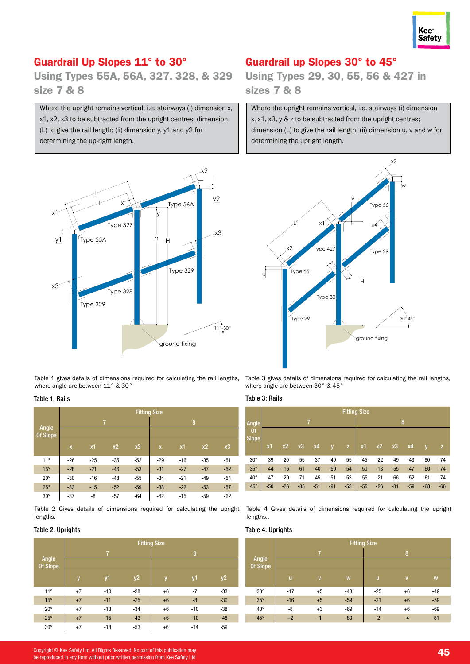

### Guardrail Up Slopes 11° to 30°

Using Types 55A, 56A, 327, 328, & 329 size 7 & 8

Where the upright remains vertical, i.e. stairways (i) dimension x, x1, x2, x3 to be subtracted from the upright centres; dimension (L) to give the rail length; (ii) dimension y, y1 and y2 for determining the up-right length.



Table 1 gives details of dimensions required for calculating the rail lengths, where angle are between 11° & 30°

#### Table 1: Rails

|                   | <b>Fitting Size</b>     |       |                |       |                         |       |                |       |  |  |
|-------------------|-------------------------|-------|----------------|-------|-------------------------|-------|----------------|-------|--|--|
|                   |                         |       | $\overline{7}$ |       | 8                       |       |                |       |  |  |
| Angle<br>Of Slope |                         |       |                |       |                         |       |                |       |  |  |
|                   | $\overline{\mathbf{X}}$ | x1    | x <sub>2</sub> | x3    | $\overline{\mathsf{x}}$ | x1    | x <sub>2</sub> | x3    |  |  |
| $11^{\circ}$      | $-26$                   | $-25$ | $-35$          | $-52$ | $-29$                   | $-16$ | $-35$          | $-51$ |  |  |
| $15^{\circ}$      | $-28$                   | $-21$ | $-46$          | $-53$ | $-31$                   | $-27$ | $-47$          | $-52$ |  |  |
| $20^{\circ}$      | $-30$                   | $-16$ | $-48$          | $-55$ | $-34$                   | $-21$ | $-49$          | $-54$ |  |  |
| $25^\circ$        | $-33$                   | $-15$ | $-52$          | $-59$ | $-38$                   | $-22$ | $-53$          | $-57$ |  |  |
| $30^\circ$        | $-37$                   | -8    | $-57$          | $-64$ | $-42$                   | $-15$ | $-59$          | $-62$ |  |  |

Table 2 Gives details of dimensions required for calculating the upright lengths.

#### Table 2: Uprights

|              | <b>Fitting Size</b> |                |       |      |       |           |  |  |
|--------------|---------------------|----------------|-------|------|-------|-----------|--|--|
| Angle        |                     | $\overline{7}$ |       | 8    |       |           |  |  |
| Of Slope     |                     |                |       |      |       |           |  |  |
|              | y                   | y1             | y2    | y    | y1    | <b>y2</b> |  |  |
| $11^{\circ}$ | $+7$                | $-10$          | $-28$ | $+6$ | $-7$  | $-33$     |  |  |
| $15^{\circ}$ | $+7$                | $-11$          | $-25$ | $+6$ | -8    | $-30$     |  |  |
| $20^{\circ}$ | $+7$                | $-13$          | $-34$ | $+6$ | $-10$ | $-38$     |  |  |
| $25^\circ$   | $+7$                | $-15$          | $-43$ | $+6$ | $-10$ | $-48$     |  |  |
| $30^\circ$   | $+7$                | $-18$          | $-53$ | $+6$ | $-14$ | $-59$     |  |  |

### Guardrail up Slopes 30° to 45°

Using Types 29, 30, 55, 56 & 427 in sizes 7 & 8

Where the upright remains vertical, i.e. stairways (i) dimension x, x1, x3, y & z to be subtracted from the upright centres; dimension (L) to give the rail length; (ii) dimension u, v and w for determining the upright length.



Table 3 gives details of dimensions required for calculating the rail lengths, where angle are between 30° & 45°

#### Table 3: Rails

|              |       |                |       |       |                         |       | <b>Fitting Size</b> |       |       |       |       |       |
|--------------|-------|----------------|-------|-------|-------------------------|-------|---------------------|-------|-------|-------|-------|-------|
| Angle        |       | $\overline{7}$ |       |       |                         |       | 8                   |       |       |       |       |       |
| 0f           |       |                |       |       |                         |       |                     |       |       |       |       |       |
| <b>Slope</b> | x1    | x <sub>2</sub> | x3    | x4    | $\overline{\mathsf{v}}$ | z     | x1                  | x2    | x3    | x4    | V     | z     |
| $30^\circ$   | $-39$ | $-20$          | $-55$ | $-37$ | $-49$                   | $-55$ | $-45$               | $-22$ | $-49$ | $-43$ | $-60$ | $-74$ |
| $35^\circ$   | $-44$ | $-16$          | $-61$ | $-40$ | $-50$                   | $-54$ | $-50$               | $-18$ | $-55$ | $-47$ | $-60$ | $-74$ |
| $40^{\circ}$ | $-47$ | $-20$          | $-71$ | $-45$ | $-51$                   | $-53$ | -55                 | $-21$ | -66   | $-52$ | $-61$ | $-74$ |
| $45^\circ$   | $-50$ | $-26$          | $-85$ | $-51$ | $-91$                   | $-53$ | $-55$               | $-26$ | $-81$ | $-59$ | $-68$ | $-66$ |

Table 4 Gives details of dimensions required for calculating the upright lengths..

#### Table 4: Uprights

|                   | <b>Fitting Size</b> |                |       |       |              |       |  |  |
|-------------------|---------------------|----------------|-------|-------|--------------|-------|--|--|
|                   |                     | $\overline{7}$ |       | 8     |              |       |  |  |
| Angle<br>Of Slope |                     |                |       |       |              |       |  |  |
|                   | $\mathsf{u}$        | $\mathbf{V}$   | W     | ū     | $\mathbf{V}$ | W     |  |  |
| $30^\circ$        | $-17$               | $+5$           | $-48$ | $-25$ | $+6$         | $-49$ |  |  |
| $35^\circ$        | $-16$               | $+5$           | $-59$ | $-21$ | $+6$         | $-59$ |  |  |
| $40^{\circ}$      | -8                  | $+3$           | $-69$ | $-14$ | $+6$         | $-69$ |  |  |
| $45^{\circ}$      | $+2$                | -1             | $-80$ | $-2$  | $-4$         | $-81$ |  |  |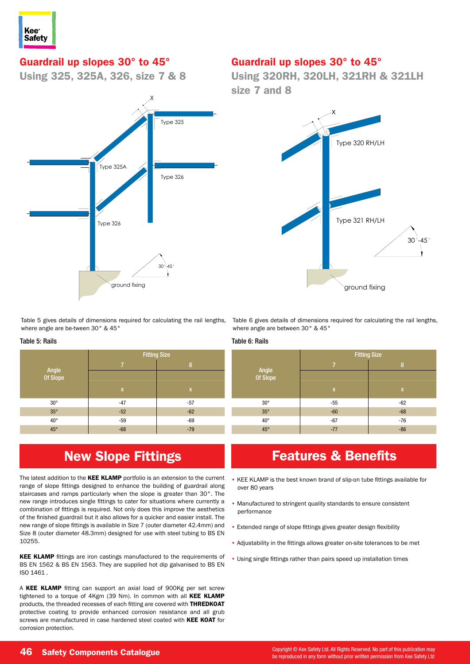

# Guardrail up slopes 30° to 45° **Guardrailing up Slopes 30 - 45**

Using 325, 325A, 326, size 7 & 8



Table 5 gives details of dimensions required for calculating the rail lengths, where angle are be-tween 30° & 45°

#### Table 5: Rails

|                   | <b>Fitting Size</b> |       |  |  |
|-------------------|---------------------|-------|--|--|
| Angle<br>Of Slope | 7                   | 8     |  |  |
|                   |                     |       |  |  |
|                   | $\mathbf{x}$        | X     |  |  |
| $30^{\circ}$      | $-47$               | $-57$ |  |  |
| $35^\circ$        | $-52$               | $-62$ |  |  |
| $40^{\circ}$      | $-59$               | $-69$ |  |  |
| $45^{\circ}$      | $-68$               | $-79$ |  |  |

# New Slope Fittings

The latest addition to the KEE KLAMP portfolio is an extension to the current range of slope fittings designed to enhance the building of guardrail along staircases and ramps particularly when the slope is greater than 30°. The new range introduces single fittings to cater for situations where currently a combination of fittings is required. Not only does this improve the aesthetics of the finished guardrail but it also allows for a quicker and easier install. The new range of slope fittings is available in Size 7 (outer diameter 42.4mm) and Size 8 (outer diameter 48.3mm) designed for use with steel tubing to BS EN 10255.

KEE KLAMP fittings are iron castings manufactured to the requirements of BS EN 1562 & BS EN 1563. They are supplied hot dip galvanised to BS EN ISO 1461 .

A KEE KLAMP fitting can support an axial load of 900Kg per set screw tightened to a torque of 4Kgm (39 Nm). In common with all KEE KLAMP products, the threaded recesses of each fitting are covered with THREDKOAT protective coating to provide enhanced corrosion resistance and all grub screws are manufactured in case hardened steel coated with KEE KOAT for corrosion protection.

### Guardrail up slopes 30° to 45°

Using 320RH, 320LH, 321RH & 321LH **Guardian Corner up Size 7 and 8 Using Types 320RH, 320LH, 321RH, 321LH** 



Table 6 gives details of dimensions required for calculating the rail lengths, where angle are between 30° & 45°

#### Table 6: Rails

|                   | <b>Fitting Size</b> |             |  |  |  |
|-------------------|---------------------|-------------|--|--|--|
| Angle<br>Of Slope | 7                   | 8           |  |  |  |
|                   |                     |             |  |  |  |
|                   | $\mathbf{x}$        | $\mathbf x$ |  |  |  |
| $30^{\circ}$      | $-55$               | $-62$       |  |  |  |
| $35^\circ$        | $-60$               | $-68$       |  |  |  |
| $40^{\circ}$      | $-67$               | $-76$       |  |  |  |
| $45^{\circ}$      | $-77$               | $-86$       |  |  |  |

# Features & Benefits

- KEE KLAMP is the best known brand of slip-on tube fittings available for over 80 years
- Manufactured to stringent quality standards to ensure consistent performance
- Extended range of slope fittings gives greater design flexibility
- Adjustability in the fittings allows greater on-site tolerances to be met
- Using single fittings rather than pairs speed up installation times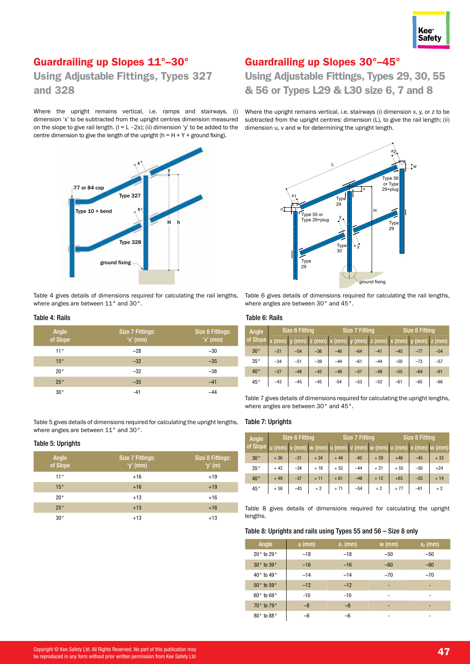

### Guardrailing up Slopes 11°–30°

Using Adjustable Fittings, Types 327 and 328

Where the upright remains vertical, i.e. ramps and stairways, (i) dimension 'x' to be subtracted from the upright centres dimension measured on the slope to give rail length.  $(I = L - 2x)$ ; (ii) dimension 'y' to be added to the centre dimension to give the length of the upright (h =  $H + Y +$  ground fixing).



Table 4 gives details of dimensions required for calculating the rail lengths, where angles are between 11° and 30°.

#### Table 4: Rails

| Angle<br>of Slope | Size 7 Fittings:<br>$'x'$ (mm) | Size 8 Fittings:<br>$'x'$ (mm) |
|-------------------|--------------------------------|--------------------------------|
| 11°               | $-28$                          | $-30$                          |
| 15°               | $-32$                          | $-35$                          |
| 20°               | $-32$                          | $-38$                          |
| 25°               | $-35$                          | $-41$                          |
| $30^{\circ}$      | $-41$                          | $-44$                          |

Table 5 gives details of dimensions required for calculating the upright lengths, where angles are between 11° and 30°.

#### Table 5: Uprights

| Angle<br>of Slope | Size 7 Fittings:<br>'y' $(mm)$ | Size 8 Fittings:<br>'y' $(m)$ |
|-------------------|--------------------------------|-------------------------------|
| 11°               | $+16$                          | $+19$                         |
| 15°               | $+16$                          | $+19$                         |
| $20^{\circ}$      | $+13$                          | $+16$                         |
| 25°               | $+13$                          | $+16$                         |
| $30^{\circ}$      | $+13$                          | $+13$                         |

### Guardrailing up Slopes 30°–45°

## Using Adjustable Fittings, Types 29, 30, 55 & 56 or Types L29 & L30 size 6, 7 and 8

Where the upright remains vertical, i.e. stairways (i) dimension x, y, or z to be subtracted from the upright centres: dimension (L), to give the rail length; (ii) dimension u, v and w for determining the upright length.



Table 6 gives details of dimensions required for calculating the rail lengths, where angles are between 30° and 45°.

#### Table 6: Rails

| Angle        | <b>Size 6 Fitting</b> |       |                 | <b>Size 7 Fitting</b> |                               |       | <b>Size 8 Fitting</b> |                |       |
|--------------|-----------------------|-------|-----------------|-----------------------|-------------------------------|-------|-----------------------|----------------|-------|
| of Slope     |                       |       | $(mm)$ z $(mm)$ |                       | $x (mm)$ y (mm) z (mm) x (mm) |       |                       | y (mm)  z (mm) |       |
| 30°          | $-31$                 | $-54$ | $-36$           | $-40$                 | $-64$                         | $-41$ | $-45$                 | $-77$          | $-54$ |
| 35°          | $-34$                 | $-51$ | $-39$           | $-44$                 | $-61$                         | $-44$ | $-50$                 | $-73$          | $-57$ |
| $40^{\circ}$ | $-37$                 | $-48$ | $-42$           | $-48$                 | $-57$                         | $-48$ | $-55$                 | $-64$          | $-61$ |
| 45°          | $-43$                 | $-45$ | $-45$           | $-54$                 | $-53$                         | $-52$ | $-61$                 | $-65$          | $-66$ |

Table 7 gives details of dimensions required for calculating the upright lengths, where angles are between 30° and 45°.

#### Table 7: Uprights

| Angle                                                                                     | <b>Size 6 Fitting</b> |       |       | <b>Size 7 Fitting</b> |       | <b>Size 8 Fitting</b> |       |       |       |
|-------------------------------------------------------------------------------------------|-----------------------|-------|-------|-----------------------|-------|-----------------------|-------|-------|-------|
| of Slope   u (mm)   v (mm)   w (mm)   u (mm)   v (mm)   w (mm)   u (mm)   v (mm)   w (mm) |                       |       |       |                       |       |                       |       |       |       |
| $30^{\circ}$                                                                              | $+36$                 | $-31$ | $+24$ | $+44$                 | $-40$ | $+29$                 | $+46$ | $-45$ | $+33$ |
| 35°                                                                                       | $+42$                 | $-34$ | $+18$ | $+52$                 | $-44$ | $+21$                 | $+55$ | $-50$ | $+24$ |
| $40^{\circ}$                                                                              | $+49$                 | $-37$ | $+11$ | $+61$                 | $-48$ | $+12$                 | $+65$ | $-55$ | $+14$ |
| 45°                                                                                       | $+58$                 | $-43$ | $+2$  | $+71$                 | $-54$ | $+2$                  | $+77$ | $-61$ | $+2$  |

Table 8 gives details of dimensions required for calculating the upright lengths.

#### Table 8: Uprights and rails using Types 55 and 56 – Size 8 only

| Angle      | $u$ (mm) | $x_1$ (mm) | $w$ (mm)                 | $x_2$ (mm) |
|------------|----------|------------|--------------------------|------------|
| 20° to 29° | $-18$    | $-18$      | $-50$                    | $-50$      |
| 30° to 39° | $-16$    | $-16$      | $-60$                    | $-60$      |
| 40° to 49° | $-14$    | $-14$      | $-70$                    | $-70$      |
| 50° to 59° | $-12$    | $-12$      | -                        | -          |
| 60° to 69° | $-10$    | $-10$      | $\overline{\phantom{a}}$ | ٠          |
| 70° to 79° | $-8$     | $-8$       | -                        | ٠          |
| 80° to 88° | -6       | -6         |                          |            |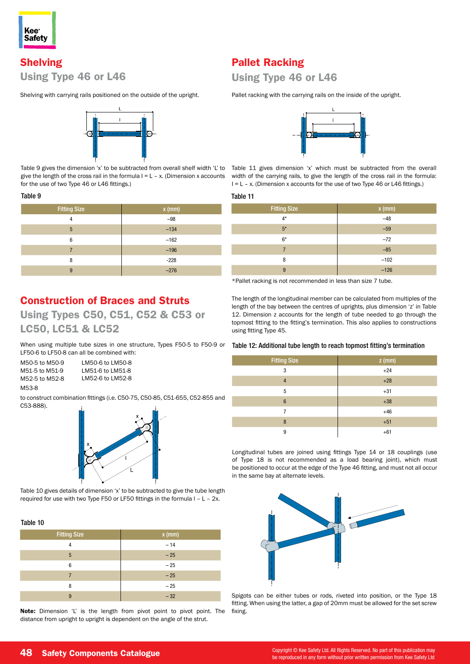

## Shelving Using Type 46 or L46

Shelving with carrying rails positioned on the outside of the upright.



Table 9 gives the dimension 'x' to be subtracted from overall shelf width 'L' to give the length of the cross rail in the formula  $I = L - x$ . (Dimension x accounts for the use of two Type 46 or L46 fittings.)

#### Table 9

| <b>Fitting Size</b> | $x$ (mm) |
|---------------------|----------|
| 4                   | $-98$    |
| 5                   | $-134$   |
| 6                   | $-162$   |
| 7                   | $-196$   |
| 8                   | $-228$   |
| 9                   | $-276$   |

### Construction of Braces and Struts

Using Types C50, C51, C52 & C53 or LC50, LC51 & LC52

When using multiple tube sizes in one structure, Types F50-5 to F50-9 or LF50-6 to LF50-8 can all be combined with:

M50-5 to M50-9 M51-5 to M51-9 M52-5 to M52-8 M53-8 LM50-6 to LM50-8 LM51-6 to LM51-8 LM52-6 to LM52-8

to construct combination fittings (i.e. C50-75, C50-85, C51-655, C52-855 and C53-888).



Table 10 gives details of dimension 'x' to be subtracted to give the tube length required for use with two Type F50 or LF50 fittings in the formula l – L – 2x.

#### Table 10

| <b>Fitting Size</b> | $x$ (mm) |
|---------------------|----------|
| 4                   | $-14$    |
| 5                   | $-25$    |
| 6                   | $-25$    |
| 7                   | $-25$    |
| 8                   | $-25$    |
| 9                   | $-32$    |

Note: Dimension 'L' is the length from pivot point to pivot point. The distance from upright to upright is dependent on the angle of the strut.

### Pallet Racking

### Using Type 46 or L46

Pallet racking with the carrying rails on the inside of the upright.



Table 11 gives dimension 'x' which must be subtracted from the overall width of the carrying rails, to give the length of the cross rail in the formula: I = L – x. (Dimension x accounts for the use of two Type 46 or L46 fittings.)

#### Table 11

| <b>Fitting Size</b> | $x$ (mm) |
|---------------------|----------|
| $4*$                | $-48$    |
| $5*$                | $-59$    |
| $6*$                | $-72$    |
| 7                   | $-85$    |
| 8                   | $-102$   |
| 9                   | $-126$   |

\*Pallet racking is not recommended in less than size 7 tube.

The length of the longitudinal member can be calculated from multiples of the length of the bay between the centres of uprights, plus dimension 'z' in Table 12. Dimension z accounts for the length of tube needed to go through the topmost fitting to the fitting's termination. This also applies to constructions using fitting Type 45.

#### Table 12: Additional tube length to reach topmost fitting's termination

| <b>Fitting Size</b> | $z$ (mm) |
|---------------------|----------|
| 3                   | $+24$    |
| $\overline{4}$      | $+28$    |
| 5                   | $+31$    |
| $6\phantom{1}6$     | $+38$    |
| 7                   | $+46$    |
| 8                   | $+51$    |
| 9                   | $+61$    |

Longitudinal tubes are joined using fittings Type 14 or 18 couplings (use of Type 18 is not recommended as a load bearing joint), which must be positioned to occur at the edge of the Type 46 fitting, and must not all occur in the same bay at alternate levels.



Spigots can be either tubes or rods, riveted into position, or the Type 18 fitting. When using the latter, a gap of 20mm must be allowed for the set screw fixing.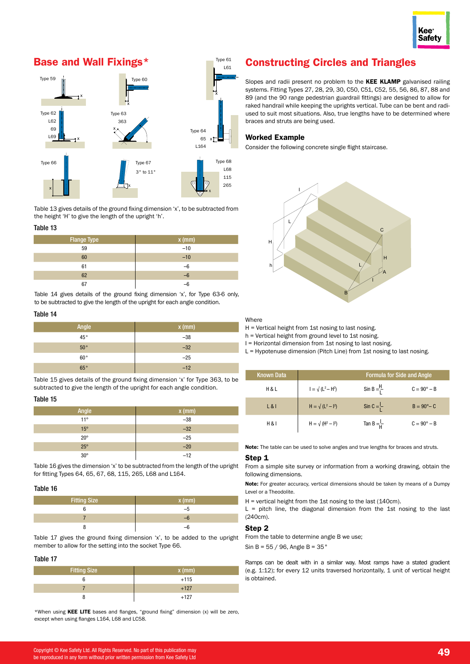# Base and Wall Fixings\*



Table  $13$  gives details of the ground fixing dimension 'x', to be subtracted from the height 'H' to give the length of the upright 'h'.

#### Table 13

| Flange Type | $x$ (mm) |
|-------------|----------|
| 59          | $-10$    |
| 60          | $-10$    |
| 61          | $-6$     |
| 62          | $-6$     |
| 67          | –հ       |

Table 14 gives details of the ground fixing dimension 'x', for Type 63-6 only, to be subtracted to give the length of the upright for each angle condition.

#### Table 14

| Angle        | $x$ (mm) |
|--------------|----------|
| $45^{\circ}$ | $-38$    |
| $50^{\circ}$ | $-32$    |
| $60^{\circ}$ | $-25$    |
| 65°          | $-12$    |

Table 15 gives details of the ground fixing dimension 'x' for Type 363, to be subtracted to give the length of the upright for each angle condition.

#### Table 15

| Angle        | $x$ (mm) |
|--------------|----------|
| $11^{\circ}$ | $-38$    |
| $15^{\circ}$ | $-32$    |
| $20^{\circ}$ | $-25$    |
| $25^{\circ}$ | $-20$    |
| $30^\circ$   | $-12$    |

Table 16 gives the dimension 'x' to be subtracted from the length of the upright for fitting Types 64, 65, 67, 68, 115, 265, L68 and L164.

#### Table 16

| <b>Fitting Size</b> | $x$ (mm) <sup><math>t</math></sup> |  |
|---------------------|------------------------------------|--|
|                     |                                    |  |
|                     |                                    |  |
|                     |                                    |  |

Table 17 gives the ground fixing dimension 'x', to be added to the upright member to allow for the setting into the socket Type 66.

#### Table 17

| <b>Fitting Size</b> | $x$ (mm) |
|---------------------|----------|
|                     | $+115$   |
|                     | $+127$   |
|                     | $+127$   |

\*When using KEE LITE bases and flanges, "ground fixing" dimension (x) will be zero, except when using flanges L164, L68 and LC58.

# **Constructing Circles and Triangles**

Slopes and radii present no problem to the KEE KLAMP galvanised railing systems. Fitting Types 27, 28, 29, 30, C50, C51, C52, 55, 56, 86, 87, 88 and 89 (and the 90 range pedestrian guardrail fittings) are designed to allow for raked handrail while keeping the uprights vertical. Tube can be bent and radiused to suit most situations. Also, true lengths have to be determined where braces and struts are being used.

#### Worked Example <sup>x</sup> <sup>x</sup>

Type 61

Consider the following concrete single flight staircase.



Where

L

H = Vertical height from 1st nosing to last nosing.

h = Vertical height from ground level to 1st nosing.

I = Horizontal dimension from 1st nosing to last nosing.

L = Hypotenuse dimension (Pitch Line) from 1st nosing to last nosing.

| <b>Known Data</b> | <b>Formula for Side and Angle</b> |                       |                      |  |
|-------------------|-----------------------------------|-----------------------|----------------------|--|
| <b>H&amp;L</b>    | $I = \sqrt{(L^2 - H^2)}$          | Sin B $=\frac{H}{I}$  | $C = 90^\circ - B$   |  |
| L &               | $H = \sqrt{(L^2 - l^2)}$          | Sin C = $\frac{1}{1}$ | $B = 90^{\circ} - C$ |  |
| H & 8             | $H = \sqrt{(H^2 - I^2)}$          | Tan B $=\frac{L}{L}$  | $C = 90^\circ - B$   |  |

Note: The table can be used to solve angles and true lengths for braces and struts.

#### Step 1

From a simple site survey or information from a working drawing, obtain the following dimensions.

Note: For greater accuracy, vertical dimensions should be taken by means of a Dumpy Level or a Theodolite.

H = vertical height from the 1st nosing to the last (140cm).

 $L =$  pitch line, the diagonal dimension from the 1st nosing to the last (240cm).

#### Step 2

From the table to determine angle B we use;

Sin B =  $55 / 96$ , Angle B =  $35°$ 

Ramps can be dealt with in a similar way. Most ramps have a stated gradient (e.g. 1:12); for every 12 units traversed horizontally, 1 unit of vertical height is obtained.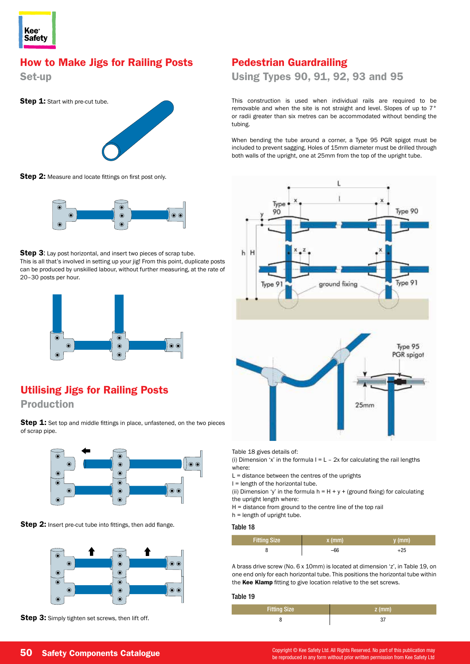

### How to Make Jigs for Railing Posts

Set-up



Step 2: Measure and locate fittings on first post only.



Step 3: Lay post horizontal, and insert two pieces of scrap tube. This is all that's involved in setting up your jig! From this point, duplicate posts can be produced by unskilled labour, without further measuring, at the rate of 20–30 posts per hour.



## Utilising Jigs for Railing Posts

Production

of scrap pipe.



Step 2: Insert pre-cut tube into fittings, then add flange.



Step 3: Simply tighten set screws, then lift off.

### Pedestrian Guardrailing

Using Types 90, 91, 92, 93 and 95

This construction is used when individual rails are required to be removable and when the site is not straight and level. Slopes of up to 7° or radii greater than six metres can be accommodated without bending the tubing.

When bending the tube around a corner, a Type 95 PGR spigot must be included to prevent sagging. Holes of 15mm diameter must be drilled through both walls of the upright, one at 25mm from the top of the upright tube.



Table 18 gives details of:

(i) Dimension 'x' in the formula  $I = L - 2x$  for calculating the rail lengths where:

 $L =$  distance between the centres of the uprights

I = length of the horizontal tube.

(ii) Dimension 'y' in the formula  $h = H + y + (ground fixing)$  for calculating the upright length where:

H = distance from ground to the centre line of the top rail

h = length of upright tube.

Table 18

I

| <b>Fitting Size</b> | $x$ (mm) | y (mm) |
|---------------------|----------|--------|
|                     |          | -25    |

A brass drive screw (No. 6 x 10mm) is located at dimension 'z', in Table 19, on one end only for each horizontal tube. This positions the horizontal tube within the Kee Klamp fitting to give location relative to the set screws.

#### Table 19

| <b>Fitting Size</b> | $\angle$ z (mm) |
|---------------------|-----------------|
|                     |                 |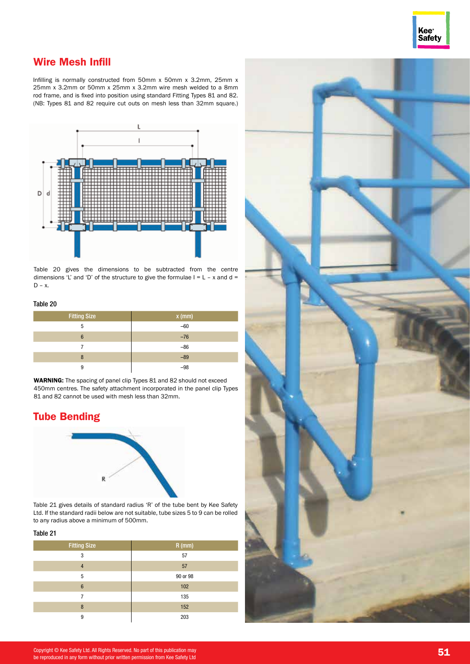

### Wire Mesh Infill

Infilling is normally constructed from 50mm x 50mm x 3.2mm, 25mm x 25mm x 3.2mm or 50mm x 25mm x 3.2mm wire mesh welded to a 8mm rod frame, and is fixed into position using standard Fitting Types 81 and 82. (NB: Types 81 and 82 require cut outs on mesh less than 32mm square.)



Table 20 gives the dimensions to be subtracted from the centre dimensions 'L' and 'D' of the structure to give the formulae  $I = L - x$  and  $d =$ D – x.

#### Table 20

| <b>Fitting Size</b> | $x$ (mm) |
|---------------------|----------|
| 5                   | $-60$    |
| 6                   | $-76$    |
|                     | $-86$    |
| 8                   | $-89$    |
| 9                   | -QR      |

WARNING: The spacing of panel clip Types 81 and 82 should not exceed 450mm centres. The safety attachment incorporated in the panel clip Types 81 and 82 cannot be used with mesh less than 32mm.

### Tube Bending



Table 21 gives details of standard radius 'R' of the tube bent by Kee Safety Ltd. If the standard radii below are not suitable, tube sizes 5 to 9 can be rolled to any radius above a minimum of 500mm.

#### Table 21

| <b>Fitting Size</b> | $R$ (mm) |
|---------------------|----------|
| 3                   | 57       |
| $\overline{4}$      | 57       |
| 5                   | 90 or 98 |
| $6\phantom{1}6$     | 102      |
|                     | 135      |
| 8                   | 152      |
| 9                   | 203      |

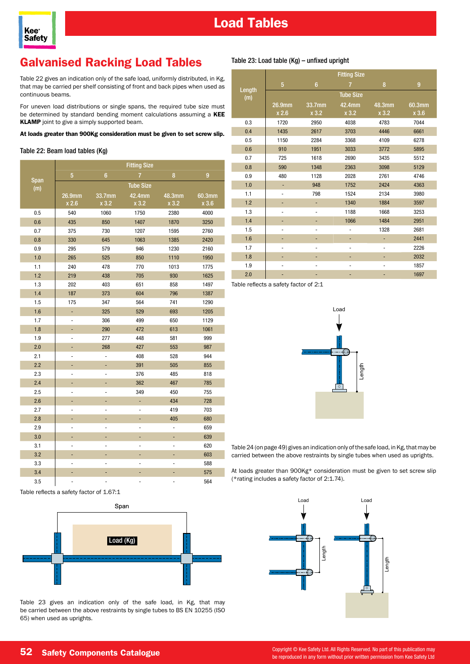

# Galvanised Racking Load Tables

Table 22 gives an indication only of the safe load, uniformly distributed, in Kg, that may be carried per shelf consisting of front and back pipes when used as continuous beams.

For uneven load distributions or single spans, the required tube size must be determined by standard bending moment calculations assuming a KEE **KLAMP** joint to give a simply supported beam.

At loads greater than 900Kg consideration must be given to set screw slip.

#### Table 22: Beam load tables (Kg)

**Kee Safety** 

|             | <b>Fitting Size</b>          |                |                  |        |        |
|-------------|------------------------------|----------------|------------------|--------|--------|
|             | 5                            | $6\phantom{1}$ | 7                | 8      | 9      |
| Span<br>(m) |                              |                | <b>Tube Size</b> |        |        |
|             | 26.9mm                       | 33.7mm         | 42.4mm           | 48.3mm | 60.3mm |
|             | x 2.6                        | x3.2           | x3.2             | x 3.2  | x 3.6  |
| 0.5         | 540                          | 1060           | 1750             | 2380   | 4000   |
| 0.6         | 435                          | 850            | 1407             | 1870   | 3250   |
| 0.7         | 375                          | 730            | 1207             | 1595   | 2760   |
| 0.8         | 330                          | 645            | 1063             | 1385   | 2420   |
| 0.9         | 295                          | 579            | 946              | 1230   | 2160   |
| 1.0         | 265                          | 525            | 850              | 1110   | 1950   |
| 1.1         | 240                          | 478            | 770              | 1013   | 1775   |
| 1.2         | 219                          | 438            | 705              | 930    | 1625   |
| 1.3         | 202                          | 403            | 651              | 858    | 1497   |
| 1.4         | 187                          | 373            | 604              | 796    | 1387   |
| 1.5         | 175                          | 347            | 564              | 741    | 1290   |
| 1.6         | ÷,                           | 325            | 529              | 693    | 1205   |
| 1.7         | $\overline{a}$               | 306            | 499              | 650    | 1129   |
| 1.8         | ٠                            | 290            | 472              | 613    | 1061   |
| 1.9         | $\qquad \qquad \blacksquare$ | 277            | 448              | 581    | 999    |
| 2.0         | ÷                            | 268            | 427              | 553    | 987    |
| 2.1         |                              | -              | 408              | 528    | 944    |
| 2.2         | ä,                           | Ξ              | 391              | 505    | 855    |
| 2.3         |                              |                | 376              | 485    | 818    |
| 2.4         | Ξ                            | Ξ              | 362              | 467    | 785    |
| 2.5         | $\qquad \qquad \blacksquare$ | -              | 349              | 450    | 755    |
| 2.6         | ۰                            | ۰              |                  | 434    | 728    |
| 2.7         | ٠                            | ÷,             |                  | 419    | 703    |
| 2.8         | ٠                            | ÷,             | -                | 405    | 680    |
| 2.9         | $\qquad \qquad \blacksquare$ |                |                  | -      | 659    |
| 3.0         | Ξ                            | Ξ              | ÷,               | ÷      | 639    |
| 3.1         |                              |                |                  | ä,     | 620    |
| 3.2         | Ξ                            | ÷,             | ÷,               | ۳      | 603    |
| 3.3         | ٠                            |                |                  | -      | 588    |
| 3.4         |                              |                |                  |        | 575    |
| 3.5         |                              |                |                  |        | 564    |

Table reflects a safety factor of 1.67:1



Table 23 gives an indication only of the safe load, in Kg, that may be carried between the above restraints by single tubes to BS EN 10255 (ISO 65) when used as uprights.

#### Table 23: Load table (Kg) – unfixed upright

|               |                 |                   | <b>Fitting Size</b> |                 |                 |
|---------------|-----------------|-------------------|---------------------|-----------------|-----------------|
|               | 5               | $6\phantom{1}6$   | $\overline{7}$      | 8               | 9               |
| Length<br>(m) |                 |                   | <b>Tube Size</b>    |                 |                 |
|               | 26.9mm<br>x 2.6 | 33.7mm<br>$x$ 3.2 | 42.4mm<br>x 3.2     | 48.3mm<br>x 3.2 | 60.3mm<br>x 3.6 |
| 0.3           | 1720            | 2950              | 4038                | 4783            | 7044            |
| 0.4           | 1435            | 2617              | 3703                | 4446            | 6661            |
| 0.5           | 1150            | 2284              | 3368                | 4109            | 6278            |
| 0.6           | 910             | 1951              | 3033                | 3772            | 5895            |
| 0.7           | 725             | 1618              | 2690                | 3435            | 5512            |
| 0.8           | 590             | 1348              | 2363                | 3098            | 5129            |
| 0.9           | 480             | 1128              | 2028                | 2761            | 4746            |
| 1.0           |                 | 948               | 1752                | 2424            | 4363            |
| 1.1           | ٠               | 798               | 1524                | 2134            | 3980            |
| 1.2           |                 | ٠                 | 1340                | 1884            | 3597            |
| 1.3           |                 |                   | 1188                | 1668            | 3253            |
| 1.4           |                 |                   | 1066                | 1484            | 2951            |
| 1.5           |                 |                   |                     | 1328            | 2681            |
| 1.6           |                 |                   |                     |                 | 2441            |
| 1.7           |                 |                   |                     |                 | 2226            |
| 1.8           | ٠               | -                 |                     |                 | 2032            |
| 1.9           | -               | ٠                 |                     |                 | 1857            |
| 2.0           |                 |                   |                     |                 | 1697            |

Table reflects a safety factor of 2:1



Table 24 (on page 49) gives an indication only of the safe load, in Kg, that may be carried between the above restraints by single tubes when used as uprights.

At loads greater than 900Kg\* consideration must be given to set screw slip (\*rating includes a safety factor of 2:1.74).

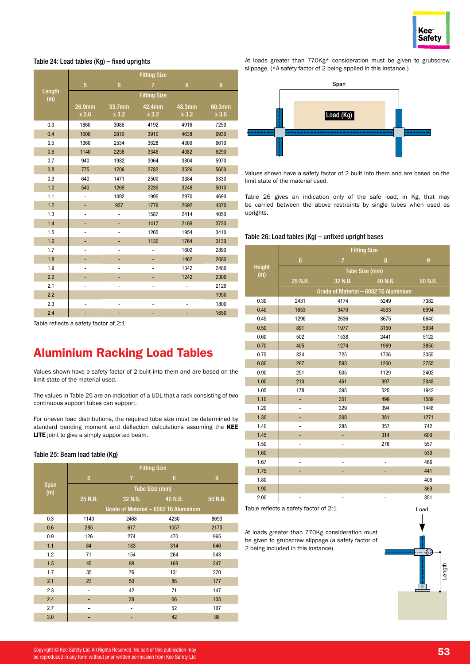

#### Table 24: Load tables (Kg) – fixed uprights

|               | <b>Fitting Size</b> |                 |                     |                 |                 |
|---------------|---------------------|-----------------|---------------------|-----------------|-----------------|
|               | 5                   | $6\phantom{1}$  | 7                   | 8               | 9               |
| Length<br>(m) |                     |                 | <b>Fitting Size</b> |                 |                 |
|               | 26.9mm<br>x 2.6     | 33.7mm<br>x 3.2 | 42.4mm<br>x 3.2     | 48.3mm<br>x 3.2 | 60.3mm<br>x 3.6 |
| 0.3           | 1860                | 3086            | 4192                | 4916            | 7250            |
| 0.4           | 1600                | 2810            | 3910                | 4638            | 6930            |
| 0.5           | 1360                | 2534            | 3628                | 4360            | 6610            |
| 0.6           | 1140                | 2258            | 3346                | 4082            | 6290            |
| 0.7           | 940                 | 1982            | 3064                | 3804            | 5970            |
| 0.8           | 775                 | 1706            | 2782                | 3526            | 5650            |
| 0.9           | 640                 | 1471            | 2500                | 3384            | 5330            |
| 1.0           | 540                 | 1269            | 2235                | 3248            | 5010            |
| 1.1           | -                   | 1092            | 1995                | 2970            | 4690            |
| 1.2           | ٠                   | 937             | 1779                | 2692            | 4370            |
| 1.3           | -                   | ÷               | 1587                | 2414            | 4050            |
| 1.4           | ۰                   | ٠               | 1417                | 2169            | 3730            |
| 1.5           | -                   | $\overline{a}$  | 1265                | 1954            | 3410            |
| 1.6           | ٠                   | ۰               | 1130                | 1764            | 3130            |
| 1.7           | -                   | $\overline{a}$  | -                   | 1602            | 2890            |
| 1.8           | ۰                   |                 | ۳                   | 1462            | 2680            |
| 1.9           | $\overline{a}$      | $\overline{a}$  | -                   | 1342            | 2480            |
| 2.0           | ٠                   | ۰               | ۰                   | 1242            | 2300            |
| 2.1           | -                   | $\overline{a}$  | $\overline{a}$      | -               | 2120            |
| 2.2           |                     |                 |                     |                 | 1950            |
| 2.3           | ٠                   | $\overline{a}$  | -                   | -               | 1800            |
| 2.4           | ٠                   | ۰               | ٠                   | ٠               | 1650            |

Table reflects a safety factor of 2:1

# Aluminium Racking Load Tables

Values shown have a safety factor of 2 built into them and are based on the limit state of the material used.

The values in Table 25 are an indication of a UDL that a rack consisting of two continuous support tubes can support.

For uneven load distributions, the required tube size must be determined by standard bending moment and deflection calculations assuming the KEE LITE joint to give a simply supported beam.

#### Table 25: Beam load table (Kg)

|                    | <b>Fitting Size</b> |                                       |         |                |
|--------------------|---------------------|---------------------------------------|---------|----------------|
|                    | $6\phantom{1}$      | $\overline{7}$                        | 8       | $\overline{9}$ |
| <b>Span</b><br>(m) |                     | Tube Size (mm)                        |         |                |
|                    | 25 N.B.             | 32 N.B.                               | 40 N.B. | 50 N.B.        |
|                    |                     | Grade of Material - 6082 T6 Aluminium |         |                |
| 0.3                | 1140                | 2468                                  | 4230    | 8693           |
| 0.6                | 285                 | 617                                   | 1057    | 2173           |
| 0.9                | 126                 | 274                                   | 470     | 965            |
| 1.1                | 84                  | 183                                   | 314     | 646            |
| 1.2                | 71                  | 154                                   | 264     | 543            |
| 1.5                | 45                  | 98                                    | 169     | 347            |
| 1.7                | 35                  | 76                                    | 131     | 270            |
| 2.1                | 23                  | 50                                    | 86      | 177            |
| 2.3                | ۰                   | 42                                    | 71      | 147            |
| 2.4                |                     | 38                                    | 66      | 135            |
| 2.7                |                     | -                                     | 52      | 107            |
| 3.0                |                     |                                       | 42      | 86             |

At loads greater than 770Kg\* consideration must be given to grubscrew slippage. (\*A safety factor of 2 being applied in this instance.)



Values shown have a safety factor of 2 built into them and are based on the limit state of the material used.

Table 26 gives an indication only of the safe load, in Kg, that may be carried between the above restraints by single tubes when used as uprights.

#### Table 26: Load tables (Kg) – unfixed upright bases

|               |                              |                                       | <b>Fitting Size</b> |         |  |
|---------------|------------------------------|---------------------------------------|---------------------|---------|--|
|               | $6\phantom{a}$               | $\overline{7}$                        | 8                   | 9       |  |
| Height<br>(m) |                              | Tube Size (mm)                        |                     |         |  |
|               | 25 N.B.                      | 32 N.B.                               | 40 N.B.             | 50 N.B. |  |
|               |                              | Grade of Material - 6082 T6 Aluminium |                     |         |  |
| 0.30          | 2431                         | 4174                                  | 5249                | 7382    |  |
| 0.40          | 1653                         | 3470                                  | 4593                | 6994    |  |
| 0.45          | 1296                         | 2636                                  | 3675                | 6640    |  |
| 0.50          | 891                          | 1977                                  | 3150                | 5934    |  |
| 0.60          | 502                          | 1538                                  | 2441                | 5122    |  |
| 0.70          | 405                          | 1274                                  | 1969                | 3850    |  |
| 0.75          | 324                          | 725                                   | 1706                | 3355    |  |
| 0.80          | 267                          | 593                                   | 1260                | 2755    |  |
| 0.90          | 251                          | 505                                   | 1129                | 2402    |  |
| 1.00          | 210                          | 461                                   | 997                 | 2048    |  |
| 1.05          | 178                          | 395                                   | 525                 | 1942    |  |
| 1.10          | ÷                            | 351                                   | 499                 | 1589    |  |
| 1.20          | -                            | 329                                   | 394                 | 1448    |  |
| 1.30          |                              | 308                                   | 381                 | 1271    |  |
| 1.40          |                              | 285                                   | 357                 | 742     |  |
| 1.45          | ۰                            | L,                                    | 314                 | 600     |  |
| 1.50          | $\qquad \qquad \blacksquare$ | $\overline{\phantom{m}}$              | 276                 | 557     |  |
| 1.60          |                              | ۳                                     |                     | 530     |  |
| 1.67          |                              | -                                     |                     | 466     |  |
| 1.75          | ٠                            | ۰                                     |                     | 441     |  |
| 1.80          | ٠                            | -                                     | -                   | 406     |  |
| 1.90          |                              |                                       |                     | 369     |  |
| 2.00          |                              | -                                     |                     | 351     |  |

Table reflects a safety factor of 2:1 Load Load Load

At loads greater than 770Kg consideration must be given to grubscrew slippage (a safety factor of 2 being included in this instance).

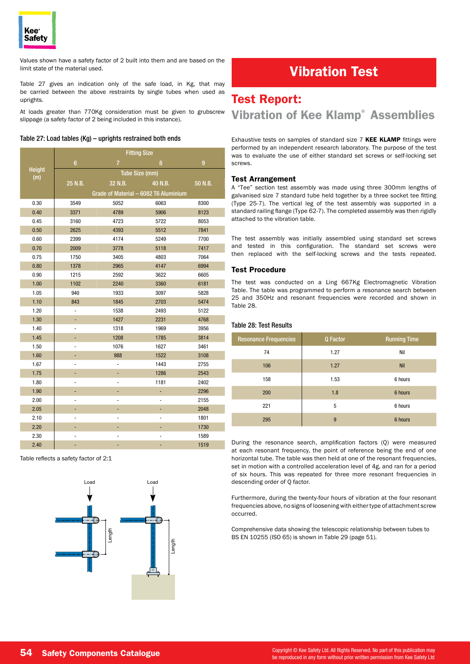

Values shown have a safety factor of 2 built into them and are based on the limit state of the material used.

Table 27 gives an indication only of the safe load, in Kg, that may be carried between the above restraints by single tubes when used as uprights.

At loads greater than 770Kg consideration must be given to grubscrew slippage (a safety factor of 2 being included in this instance).

#### Table 27: Load tables (Kg) – uprights restrained both ends

|               | <b>Fitting Size</b>          |                                       |                |                |
|---------------|------------------------------|---------------------------------------|----------------|----------------|
|               | $6\phantom{1}$               | $\overline{7}$                        | 8              | $\overline{9}$ |
| <b>Height</b> |                              | Tube Size (mm)                        |                |                |
| (m)           | 25 N.B.                      | 32 N.B.                               | 40 N.B.        | 50 N.B.        |
|               |                              | Grade of Material - 6082 T6 Aluminium |                |                |
| 0.30          | 3549                         | 5052                                  | 6063           | 8300           |
| 0.40          | 3371                         | 4789                                  | 5906           | 8123           |
| 0.45          | 3160                         | 4723                                  | 5722           | 8053           |
| 0.50          | 2625                         | 4393                                  | 5512           | 7841           |
| 0.60          | 2399                         | 4174                                  | 5249           | 7700           |
| 0.70          | 2009                         | 3778                                  | 5118           | 7417           |
| 0.75          | 1750                         | 3405                                  | 4803           | 7064           |
| 0.80          | 1378                         | 2965                                  | 4147           | 6994           |
| 0.90          | 1215                         | 2592                                  | 3622           | 6605           |
| 1.00          | 1102                         | 2240                                  | 3360           | 6181           |
| 1.05          | 940                          | 1933                                  | 3097           | 5828           |
| 1.10          | 843                          | 1845                                  | 2703           | 5474           |
| 1.20          | -                            | 1538                                  | 2493           | 5122           |
| 1.30          | ۰                            | 1427                                  | 2231           | 4768           |
| 1.40          | -                            | 1318                                  | 1969           | 3956           |
| 1.45          | ۳                            | 1208                                  | 1785           | 3814           |
| 1.50          |                              | 1076                                  | 1627           | 3461           |
| 1.60          | ÷,                           | 988                                   | 1522           | 3108           |
| 1.67          | $\qquad \qquad \blacksquare$ |                                       | 1443           | 2755           |
| 1.75          | ۳                            | ۳                                     | 1286           | 2543           |
| 1.80          | $\overline{\phantom{m}}$     | $\overline{\phantom{m}}$              | 1181           | 2402           |
| 1.90          | ۳                            |                                       |                | 2296           |
| 2.00          | -                            |                                       | $\overline{a}$ | 2155           |
| 2.05          | ۳                            |                                       | ÷,             | 2048           |
| 2.10          | $\qquad \qquad \blacksquare$ | -                                     | $\frac{1}{2}$  | 1801           |
| 2.20          | ۳                            | ۳                                     | ÷              | 1730           |
| 2.30          |                              |                                       | -              | 1589           |
| 2.40          |                              |                                       | ۰              | 1519           |

Table reflects a safety factor of 2:1



# Vibration Test

### Test Report:

### Vibration of Kee Klamp® Assemblies

Exhaustive tests on samples of standard size 7 KEE KLAMP fittings were performed by an independent research laboratory. The purpose of the test was to evaluate the use of either standard set screws or self-locking set screws.

#### Test Arrangement

A "Tee" section test assembly was made using three 300mm lengths of galvanised size 7 standard tube held together by a three socket tee fitting (Type 25-7). The vertical leg of the test assembly was supported in a standard railing flange (Type 62-7). The completed assembly was then rigidly attached to the vibration table.

The test assembly was initially assembled using standard set screws and tested in this configuration. The standard set screws were then replaced with the self-locking screws and the tests repeated.

#### Test Procedure

The test was conducted on a Ling 667Kg Electromagnetic Vibration Table. The table was programmed to perform a resonance search between 25 and 350Hz and resonant frequencies were recorded and shown in Table 28.

#### Table 28: Test Results

| <b>Resonance Frequencies</b> | Q Factor | <b>Running Time</b> |
|------------------------------|----------|---------------------|
| 74                           | 1.27     | Nil                 |
| 106                          | 1.27     | <b>Nil</b>          |
| 158                          | 1.53     | 6 hours             |
| 200                          | 1.8      | 6 hours             |
| 221                          | 5        | 6 hours             |
| 295                          | 9        | 6 hours             |

During the resonance search, amplification factors (Q) were measured at each resonant frequency, the point of reference being the end of one horizontal tube. The table was then held at one of the resonant frequencies, set in motion with a controlled acceleration level of 4g, and ran for a period of six hours. This was repeated for three more resonant frequencies in descending order of Q factor.

Furthermore, during the twenty-four hours of vibration at the four resonant frequencies above, no signs of loosening with either type of attachment screw occurred.

Length BS EN 10255 (ISO 65) is shown in Table 29 (page 51). Comprehensive data showing the telescopic relationship between tubes to